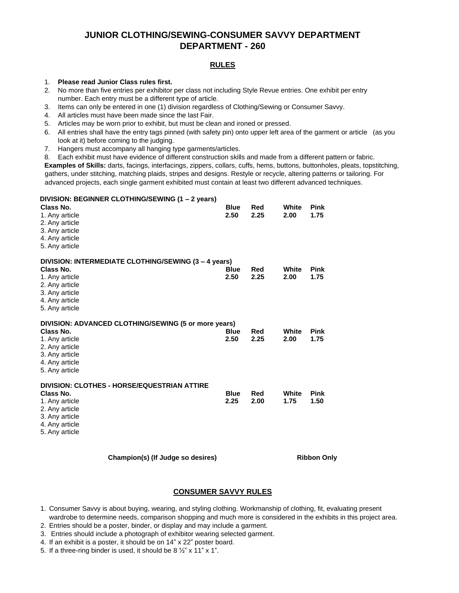# **JUNIOR CLOTHING/SEWING-CONSUMER SAVVY DEPARTMENT DEPARTMENT - 260**

# **RULES**

## 1. **Please read Junior Class rules first.**

2. No more than five entries per exhibitor per class not including Style Revue entries. One exhibit per entry number. Each entry must be a different type of article.

- 3. Items can only be entered in one (1) division regardless of Clothing/Sewing or Consumer Savvy.
- 4. All articles must have been made since the last Fair.
- 5. Articles may be worn prior to exhibit, but must be clean and ironed or pressed.
- 6. All entries shall have the entry tags pinned (with safety pin) onto upper left area of the garment or article (as you look at it) before coming to the judging.
- 7. Hangers must accompany all hanging type garments/articles.
- 8. Each exhibit must have evidence of different construction skills and made from a different pattern or fabric.

**Examples of Skills:** darts, facings, interfacings, zippers, collars, cuffs, hems, buttons, buttonholes, pleats, topstitching, gathers, under stitching, matching plaids, stripes and designs. Restyle or recycle, altering patterns or tailoring. For advanced projects, each single garment exhibited must contain at least two different advanced techniques.

#### **DIVISION: BEGINNER CLOTHING/SEWING (1 – 2 years)**

| Class No.<br>1. Any article<br>2. Any article<br>3. Any article<br>4. Any article<br>5. Any article |                                                      | <b>Blue</b><br>2.50 | Red<br>2.25 | White<br>2.00 | <b>Pink</b><br>1.75 |  |
|-----------------------------------------------------------------------------------------------------|------------------------------------------------------|---------------------|-------------|---------------|---------------------|--|
| Class No.<br>1. Any article<br>2. Any article<br>3. Any article<br>4. Any article<br>5. Any article | DIVISION: INTERMEDIATE CLOTHING/SEWING (3 – 4 years) | <b>Blue</b><br>2.50 | Red<br>2.25 | White<br>2.00 | <b>Pink</b><br>1.75 |  |
| Class No.<br>1. Any article<br>2. Any article<br>3. Any article<br>4. Any article<br>5. Any article | DIVISION: ADVANCED CLOTHING/SEWING (5 or more years) | <b>Blue</b><br>2.50 | Red<br>2.25 | White<br>2.00 | <b>Pink</b><br>1.75 |  |
| Class No.<br>1. Any article<br>2. Any article<br>3. Any article<br>4. Any article<br>5. Any article | DIVISION: CLOTHES - HORSE/EQUESTRIAN ATTIRE          | <b>Blue</b><br>2.25 | Red<br>2.00 | White<br>1.75 | <b>Pink</b><br>1.50 |  |
| Champion(s) (If Judge so desires)                                                                   |                                                      |                     |             |               | <b>Ribbon Only</b>  |  |

## **CONSUMER SAVVY RULES**

- 1. Consumer Savvy is about buying, wearing, and styling clothing. Workmanship of clothing, fit, evaluating present wardrobe to determine needs, comparison shopping and much more is considered in the exhibits in this project area.
- 2. Entries should be a poster, binder, or display and may include a garment.
- 3. Entries should include a photograph of exhibitor wearing selected garment.
- 4. If an exhibit is a poster, it should be on 14" x 22" poster board.
- 5. If a three-ring binder is used, it should be 8 ½" x 11" x 1".